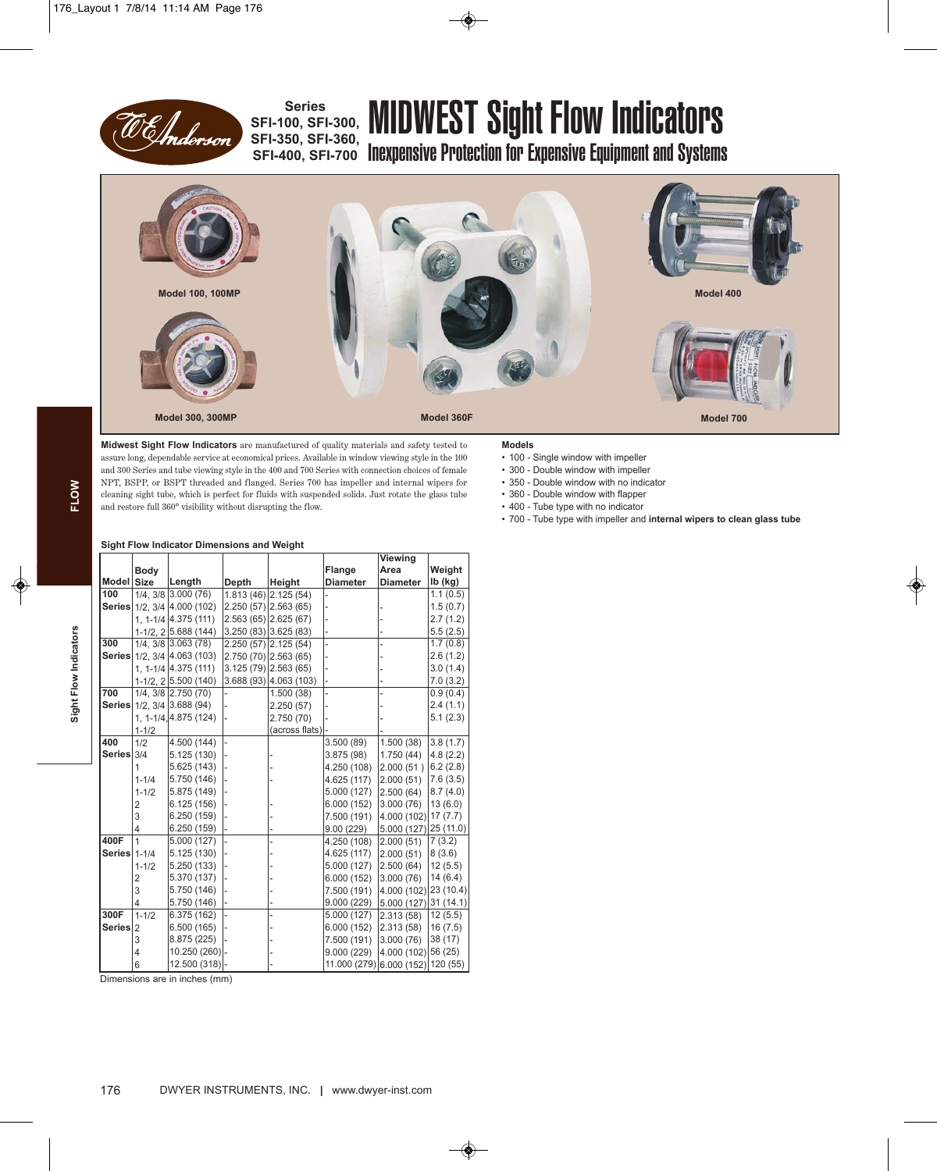

## **SFI-100, SFI-300, SFI-350, SFI-360,**

# Series<br>00, SFI-300, MIDWEST Sight Flow Indicators

sri-330, Sri-300, Inexpensive Protection for Expensive Equipment and Systems



**Midwest Sight Flow Indicators** are manufactured of quality materials and safety tested to assure long, dependable service at economical prices. Available in window viewing style in the 100 and 300 Series and tube viewing style in the 400 and 700 Series with connection choices of female NPT, BSPP, or BSPT threaded and flanged. Series 700 has impeller and internal wipers for cleaning sight tube, which is perfect for fluids with suspended solids. Just rotate the glass tube and restore full 360° visibility without disrupting the flow.

#### **Models**

- 100 Single window with impeller
- 300 Double window with impeller
- 350 Double window with no indicator
- 360 Double window with flapper
- 400 Tube type with no indicator
- 700 Tube type with impeller and **internal wipers to clean glass tube**

#### **Sight Flow Indicator Dimensions and Weight**

|                |                |                                   |       |                         |                                   | <b>Viewing</b>        |           |
|----------------|----------------|-----------------------------------|-------|-------------------------|-----------------------------------|-----------------------|-----------|
|                | Body           |                                   |       |                         | Flange                            | Area                  | Weight    |
| Model Size     |                | Length                            | Depth | Height                  | <b>Diameter</b>                   | <b>Diameter</b>       | $Ib$ (kg) |
| 100            |                | 1/4, 3/8 3.000 (76)               |       | $1.813(46)$ 2.125 (54)  |                                   |                       | 1.1(0.5)  |
| <b>Series</b>  |                | $1/2$ , $3/4$ $\vert 4.000$ (102) |       | $2.250(57)$ $2.563(65)$ |                                   |                       | 1.5(0.7)  |
|                |                | 1. 1-1/4 4.375 (111)              |       | $2.563(65)$ 2.625 (67)  |                                   |                       | 2.7(1.2)  |
|                |                | 1-1/2, 2 5.688 (144)              |       | 3.250(83)3.625(83)      |                                   |                       | 5.5(2.5)  |
| 300            |                | 1/4, 3/8 3.063 (78)               |       | 2.250 (57) 2.125 (54)   |                                   |                       | 1.7(0.8)  |
| <b>Series</b>  |                | $1/2.3/4$ 4.063 (103)             |       | 2.750 (70) 2.563 (65)   |                                   |                       | 2.6(1.2)  |
|                |                | 1. 1-1/4 4.375 (111)              |       | $3.125(79)$ 2.563 (65)  |                                   |                       | 3.0(1.4)  |
|                |                | $1-1/2$ , $2 5.500(140)$          |       | 3.688 (93) 4.063 (103)  |                                   |                       | 7.0(3.2)  |
| 700            |                | $1/4$ , $3/8$ $2.750$ (70)        |       | 1.500(38)               |                                   |                       | 0.9(0.4)  |
| <b>Series</b>  |                | $1/2$ , $3/4$ 3.688 (94)          |       | 2.250 (57)              |                                   |                       | 2.4(1.1)  |
|                |                | 1, 1-1/4, 4.875 (124)             |       | 2.750 (70)              |                                   |                       | 5.1(2.3)  |
|                | $1 - 1/2$      |                                   |       | (across flats)          |                                   |                       |           |
| 400            | 1/2            | 4.500 (144)                       |       |                         | 3.500(89)                         | 1.500 (38)            | 3.8(1.7)  |
| Series $3/4$   |                | 5.125 (130)                       |       |                         | 3.875(98)                         | 1.750(44)             | 4.8(2.2)  |
|                | 1              | 5.625 (143)                       |       |                         | 4.250 (108)                       | 2.000 (51)            | 6.2(2.8)  |
|                | $1 - 1/4$      | 5.750 (146)                       |       |                         | 4.625 (117)                       | 2.000 (51)            | 7.6(3.5)  |
|                | $1 - 1/2$      | 5.875 (149)                       |       |                         | 5.000(127)                        | 2.500(64)             | 8.7(4.0)  |
|                | 2              | 6.125 (156)                       |       |                         | 6.000(152)                        | 3.000(76)             | 13(6.0)   |
|                | 3              | 6.250 (159)                       |       |                         | 7.500 (191)                       | 4.000(102)            | 17(7.7)   |
|                | 4              | 6.250 (159)                       |       |                         | 9.00(229)                         | 5.000 (127) 25 (11.0) |           |
| 400F           | 1              | 5.000 (127)                       |       |                         | 4.250 (108)                       | 2.000 (51)            | 7(3.2)    |
| Series   1-1/4 |                | 5.125(130)                        |       |                         | 4.625 (117)                       | 2.000 (51)            | 8(3.6)    |
|                | $1 - 1/2$      | 5.250 (133)                       |       |                         | 5.000 (127)                       | 2.500(64)             | 12(5.5)   |
|                | 2              | 5.370 (137)                       |       |                         | 6.000 (152)                       | 3.000 (76)            | 14(6.4)   |
|                | 3              | 5.750 (146)                       |       |                         | 7.500 (191)                       | 4.000 (102) 23 (10.4) |           |
|                | 4              | 5.750 (146)                       |       |                         | 9.000(229)                        | 5.000(127) 31(14.1)   |           |
| 300F           | $1 - 1/2$      | 6.375 (162)                       |       |                         | 5.000 (127)                       | 2.313(58)             | 12(5.5)   |
| <b>Series</b>  | $\overline{2}$ | 6.500 (165)                       |       |                         | 6.000(152)                        | 2.313(58)             | 16(7.5)   |
|                | 3              | 8.875 (225)                       |       |                         | 7.500 (191)                       | 3.000 (76)            | 38(17)    |
|                | 4              | 10.250 (260) -                    |       |                         | 9.000(229)                        | 4.000 (102) 56 (25)   |           |
|                | 6              | 12.500 (318) -                    |       |                         | 11.000 (279) 6.000 (152) 120 (55) |                       |           |

Dimensions are in inches (mm)